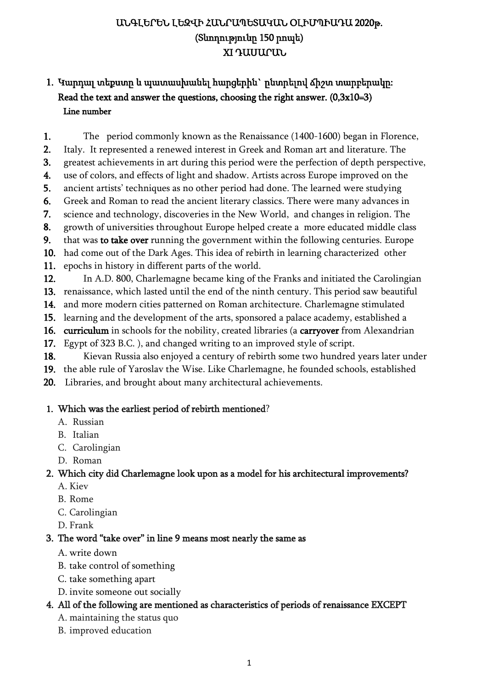# ԱՆԳԼԵՐԵՆ ԼԵԶՎԻ ՀԱՆՐԱՊԵՏԱԿԱՆ ՕԼԻՄՊԻԱԴԱ 2020թ. (Տևողությունը 150 րոպե) XI ԴԱՍԱՐԱՆ

# 1. Կարդալ տեքստը և պատասխանել հարցերին` ընտրելով ճիշտ տարբերակը: Read the text and answer the questions, choosing the right answer.  $(0,3x10=3)$ Line number

- 1. The period commonly known as the Renaissance (1400-1600) began in Florence,
- 2. Italy. It represented a renewed interest in Greek and Roman art and literature. The
- 3. greatest achievements in art during this period were the perfection of depth perspective,
- 4. use of colors, and effects of light and shadow. Artists across Europe improved on the
- 5. ancient artists' techniques as no other period had done. The learned were studying
- 6. Greek and Roman to read the ancient literary classics. There were many advances in
- 7. science and technology, discoveries in the New World, and changes in religion. The
- 8. growth of universities throughout Europe helped create a more educated middle class
- 9. that was to take over running the government within the following centuries. Europe
- 10. had come out of the Dark Ages. This idea of rebirth in learning characterized other
- 11. epochs in history in different parts of the world.
- 12. In A.D. 800, Charlemagne became king of the Franks and initiated the Carolingian
- 13. renaissance, which lasted until the end of the ninth century. This period saw beautiful
- 14. and more modern cities patterned on Roman architecture. Charlemagne stimulated
- 15. learning and the development of the arts, sponsored a palace academy, established a
- 16. curriculum in schools for the nobility, created libraries (a carryover from Alexandrian
- 17. Egypt of 323 B.C. ), and changed writing to an improved style of script.
- 18. Kievan Russia also enjoyed a century of rebirth some two hundred years later under
- 19. the able rule of Yaroslav the Wise. Like Charlemagne, he founded schools, established
- 20. Libraries, and brought about many architectural achievements.

#### 1. Which was the earliest period of rebirth mentioned?

- A. Russian
- B. Italian
- C. Carolingian
- D. Roman

#### 2. Which city did Charlemagne look upon as a model for his architectural improvements?

- A. Kiev
- B. Rome
- C. Carolingian
- D. Frank

## 3. The word "take over" in line 9 means most nearly the same as

- A. write down
- B. take control of something
- C. take something apart
- D. invite someone out socially

## 4. All of the following are mentioned as characteristics of periods of renaissance EXCEPT

- A. maintaining the status quo
- B. improved education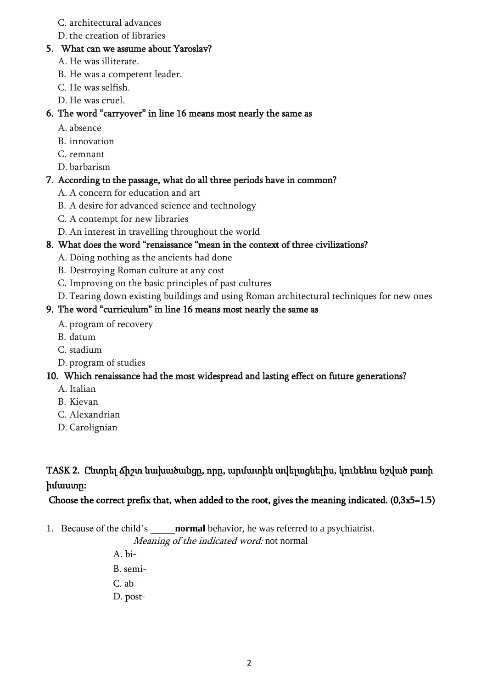#### C. architectural advances

D. the creation of libraries

#### 5. What can we assume about Yaroslav?

- A. He was illiterate.
- B. He was a competent leader.
- C. He was selfish.
- D. He was cruel.

#### 6. The word "carryover" in line 16 means most nearly the same as

- A. absence
- B. innovation
- C. remnant
- D. barbarism

## 7. According to the passage, what do all three periods have in common?

- A. A concern for education and art
- B. A desire for advanced science and technology
- C. A contempt for new libraries
- D. An interest in travelling throughout the world

## 8. What does the word "renaissance "mean in the context of three civilizations?

- A. Doing nothing as the ancients had done
- B. Destroying Roman culture at any cost
- C. Improving on the basic principles of past cultures
- D. Tearing down existing buildings and using Roman architectural techniques for new ones

#### 9. The word "curriculum" in line 16 means most nearly the same as

- A. program of recovery
- B. datum
- C. stadium
- D. program of studies

## 10. Which renaissance had the most widespread and lasting effect on future generations?

- A. Italian
- B. Kievan
- C. Alexandrian
- D. Carolignian

## TASK 2. Ընտրել ճիշտ նախածանցը, որը, արմատին ավելացնելիս, կունենա նշված բառի իմաստը:

## Choose the correct prefix that, when added to the root, gives the meaning indicated. (0,3x5=1.5)

1. Because of the child's \_\_\_\_\_**normal** behavior, he was referred to a psychiatrist.

Meaning of the indicated word: not normal

A. bi-B. semi-C. ab-

D. post-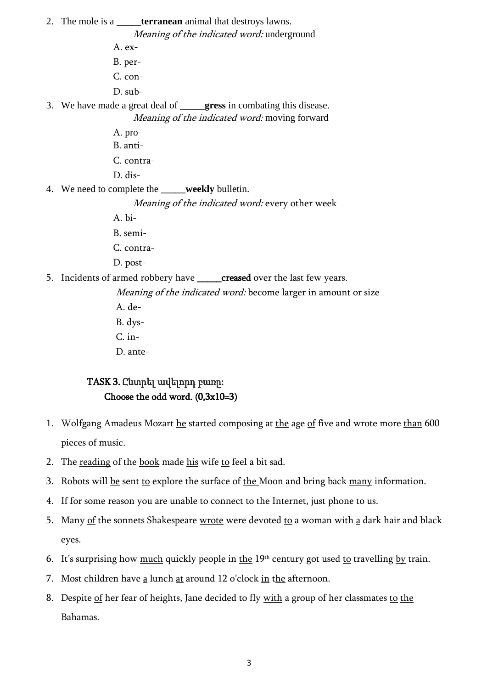2. The mole is a \_\_\_\_\_**terranean** animal that destroys lawns. Meaning of the indicated word: underground A. ex-B. per-C. con-D. sub-3. We have made a great deal of \_\_\_\_\_**gress** in combating this disease. Meaning of the indicated word: moving forward A. pro-B. anti-C. contra-D. dis-4. We need to complete the **weekly** bulletin. Meaning of the indicated word: every other week A. bi-B. semi-C. contra-

- D. post-
- 5. Incidents of [armed](https://dictionary.cambridge.org/dictionary/english/armed) [robbery](https://dictionary.cambridge.org/dictionary/english/robbery) have \_\_\_\_\_creased over the last few [years.](https://dictionary.cambridge.org/dictionary/english/year)

Meaning of the indicated word: become larger in amount or size A. de-B. dys-C. in-

D. ante-

### TASK 3. Ընտրել ավելորդ բառը: Choose the odd word. (0,3x10=3)

- 1. Wolfgang Amadeus Mozart he started composing at the age of five and wrote more than 600 pieces of music.
- 2. The reading of the book made his wife to feel a bit sad.
- 3. Robots will be sent to explore the surface of the Moon and bring back many information.
- 4. If for some reason you are unable to connect to the Internet, just phone to us.
- 5. Many of the sonnets Shakespeare wrote were devoted to a woman with  $\underline{a}$  dark hair and black eyes.
- 6. It's surprising how much quickly people in the  $19<sup>th</sup>$  century got used to travelling by train.
- 7. Most children have a lunch at around 12 o'clock in the afternoon.
- 8. Despite of her fear of heights, Jane decided to fly with a group of her classmates to the Bahamas.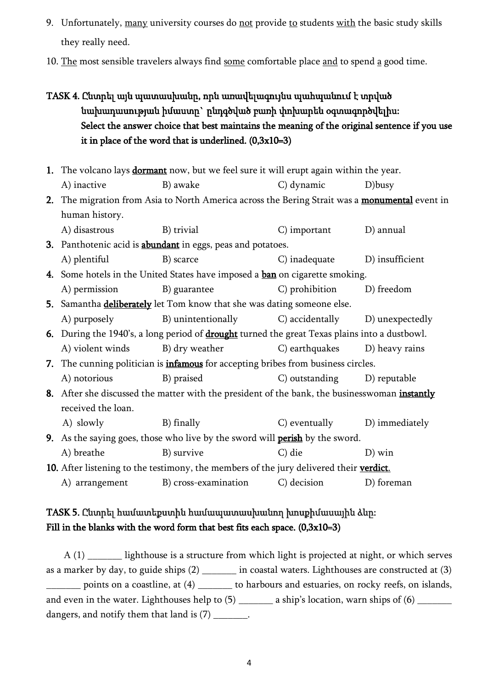- 9. Unfortunately, many university courses do not provide to students with the basic study skills they really need.
- 10. The most sensible travelers always find some comfortable place and to spend a good time.
- TASK 4. Ընտրել այն պատասխանը, որն առավելագույնս պահպանում է տրված նախադասության իմաստը` ընդգծված բառի փոխարեն օգտագործվելիս: Select the answer choice that best maintains the meaning of the original sentence if you use it in place of the word that is underlined.  $(0,3x10=3)$
- 1. The volcano lays **dormant** now, but we feel sure it will erupt again within the year. A) inactive B) awake C) dynamic D)busy
- 2. The migration from Asia to North America across the Bering Strait was a monumental event in human history.
- A) disastrous B) trivial C) important D) annual 3. Panthotenic acid is **abundant** in eggs, peas and potatoes. A) plentiful B) scarce C) inadequate D) insufficient 4. Some hotels in the United States have imposed a ban on cigarette smoking.
- A) permission B) guarantee C) prohibition D) freedom
- 5. Samantha **deliberately** let Tom know that she was dating someone else. A) purposely B) unintentionally C) accidentally D) unexpectedly
- 6. During the 1940's, a long period of **drought** turned the great Texas plains into a dustbowl. A) violent winds B) dry weather C) earthquakes D) heavy rains
- 7. The cunning politician is **infamous** for accepting bribes from business circles. A) notorious B) praised C) outstanding D) reputable
- 8. After she discussed the matter with the president of the bank, the businesswoman instantly received the loan.
	- A) slowly B) finally C) eventually D) immediately

9. As the saying goes, those who live by the sword will **perish** by the sword. A) breathe B) survive C) die D) win

10. After listening to the testimony, the members of the jury delivered their verdict. A) arrangement B) cross-examination C) decision D) foreman

## TASK 5. Ընտրել համատեքստին համապատասխանող խոսքիմասային ձևը: Fill in the blanks with the word form that best fits each space.  $(0,3x10=3)$

A (1) lighthouse is a structure from which light is projected at night, or which serves as a marker by day, to guide ships (2) in coastal waters. Lighthouses are constructed at (3) points on a coastline, at (4)  $\qquad \qquad$  to harbours and estuaries, on rocky reefs, on islands, and even in the water. Lighthouses help to  $(5)$   $\qquad \qquad$  a ship's location, warn ships of  $(6)$ dangers, and notify them that land is (7) \_\_\_\_\_\_\_.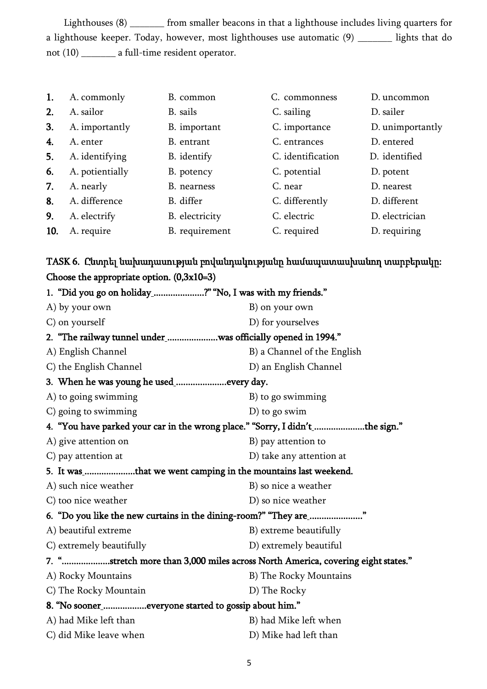Lighthouses (8) from smaller beacons in that a lighthouse includes living quarters for a lighthouse keeper. Today, however, most lighthouses use automatic (9) \_\_\_\_\_\_\_ lights that do not (10) \_\_\_\_\_\_\_ a full-time resident operator.

| 1.  | A. commonly     | B. common      | C. commonness     | D. uncommon      |
|-----|-----------------|----------------|-------------------|------------------|
| 2.  | A. sailor       | B. sails       | C. sailing        | D. sailer        |
| 3.  | A. importantly  | B. important   | C. importance     | D. unimportantly |
| 4.  | A. enter        | B. entrant     | C. entrances      | D. entered       |
| 5.  | A. identifying  | B. identify    | C. identification | D. identified    |
| 6.  | A. potientially | B. potency     | C. potential      | D. potent        |
| 7.  | A. nearly       | B. nearness    | C. near           | D. nearest       |
| 8.  | A. difference   | B. differ      | C. differently    | D. different     |
| 9.  | A. electrify    | B. electricity | C. electric       | D. electrician   |
| 10. | A. require      | B. requirement | C. required       | D. requiring     |
|     |                 |                |                   |                  |

TASK 6. Ընտրել նախադասության բովանդակությանը համապատասխանող տարբերակը: Choose the appropriate option. (0,3x10=3)

| 1. "Did you go on holiday_?" "No, I was with my friends."                       |                                                              |  |  |  |  |
|---------------------------------------------------------------------------------|--------------------------------------------------------------|--|--|--|--|
| A) by your own                                                                  | B) on your own                                               |  |  |  |  |
| C) on yourself                                                                  | D) for yourselves                                            |  |  |  |  |
|                                                                                 | 2. "The railway tunnel under_was officially opened in 1994." |  |  |  |  |
| A) English Channel                                                              | B) a Channel of the English                                  |  |  |  |  |
| C) the English Channel                                                          | D) an English Channel                                        |  |  |  |  |
|                                                                                 |                                                              |  |  |  |  |
| A) to going swimming                                                            | B) to go swimming                                            |  |  |  |  |
| C) going to swimming                                                            | $D$ ) to go swim                                             |  |  |  |  |
| 4. "You have parked your car in the wrong place." "Sorry, I didn't the sign."   |                                                              |  |  |  |  |
| A) give attention on                                                            | B) pay attention to                                          |  |  |  |  |
| C) pay attention at                                                             | D) take any attention at                                     |  |  |  |  |
| 5. It was that we went camping in the mountains last weekend.                   |                                                              |  |  |  |  |
| A) such nice weather                                                            | B) so nice a weather                                         |  |  |  |  |
| C) too nice weather                                                             | D) so nice weather                                           |  |  |  |  |
| 6. "Do you like the new curtains in the dining-room?" "They are_"               |                                                              |  |  |  |  |
| A) beautiful extreme                                                            | B) extreme beautifully                                       |  |  |  |  |
| C) extremely beautifully                                                        | D) extremely beautiful                                       |  |  |  |  |
| 7. "stretch more than 3,000 miles across North America, covering eight states." |                                                              |  |  |  |  |
| A) Rocky Mountains                                                              | B) The Rocky Mountains                                       |  |  |  |  |
| C) The Rocky Mountain                                                           | D) The Rocky                                                 |  |  |  |  |
| 8. "No sooner_everyone started to gossip about him."                            |                                                              |  |  |  |  |
| A) had Mike left than                                                           | B) had Mike left when                                        |  |  |  |  |
| C) did Mike leave when                                                          | D) Mike had left than                                        |  |  |  |  |